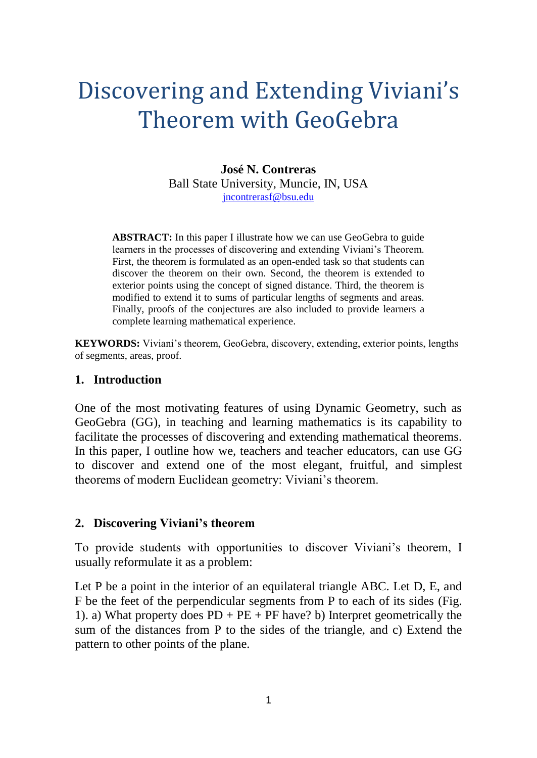# Discovering and Extending Viviani's Theorem with GeoGebra

## **José N. Contreras**

Ball State University, Muncie, IN, USA [jncontrerasf@bsu.edu](mailto:jncontrerasf@bsu.edu)

**ABSTRACT:** In this paper I illustrate how we can use GeoGebra to guide learners in the processes of discovering and extending Viviani's Theorem. First, the theorem is formulated as an open-ended task so that students can discover the theorem on their own. Second, the theorem is extended to exterior points using the concept of signed distance. Third, the theorem is modified to extend it to sums of particular lengths of segments and areas. Finally, proofs of the conjectures are also included to provide learners a complete learning mathematical experience.

**KEYWORDS:** Viviani's theorem, GeoGebra, discovery, extending, exterior points, lengths of segments, areas, proof.

## **1. Introduction**

One of the most motivating features of using Dynamic Geometry, such as GeoGebra (GG), in teaching and learning mathematics is its capability to facilitate the processes of discovering and extending mathematical theorems. In this paper, I outline how we, teachers and teacher educators, can use GG to discover and extend one of the most elegant, fruitful, and simplest theorems of modern Euclidean geometry: Viviani's theorem.

## **2. Discovering Viviani's theorem**

To provide students with opportunities to discover Viviani's theorem, I usually reformulate it as a problem:

Let P be a point in the interior of an equilateral triangle ABC. Let D, E, and F be the feet of the perpendicular segments from P to each of its sides (Fig. 1). a) What property does  $PD + PE + PF$  have? b) Interpret geometrically the sum of the distances from P to the sides of the triangle, and c) Extend the pattern to other points of the plane.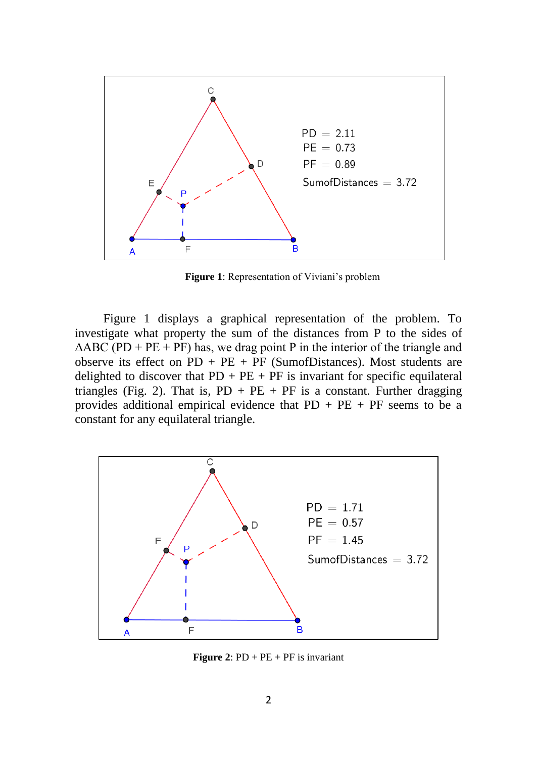

**Figure 1**: Representation of Viviani's problem

Figure 1 displays a graphical representation of the problem. To investigate what property the sum of the distances from P to the sides of  $\triangle$ ABC (PD + PE + PF) has, we drag point P in the interior of the triangle and observe its effect on  $PD + PE + PF$  (SumofDistances). Most students are delighted to discover that  $PD + PE + PF$  is invariant for specific equilateral triangles (Fig. 2). That is,  $PD + PE + PF$  is a constant. Further dragging provides additional empirical evidence that  $PD + PE + PF$  seems to be a constant for any equilateral triangle.



**Figure 2**: PD + PE + PF is invariant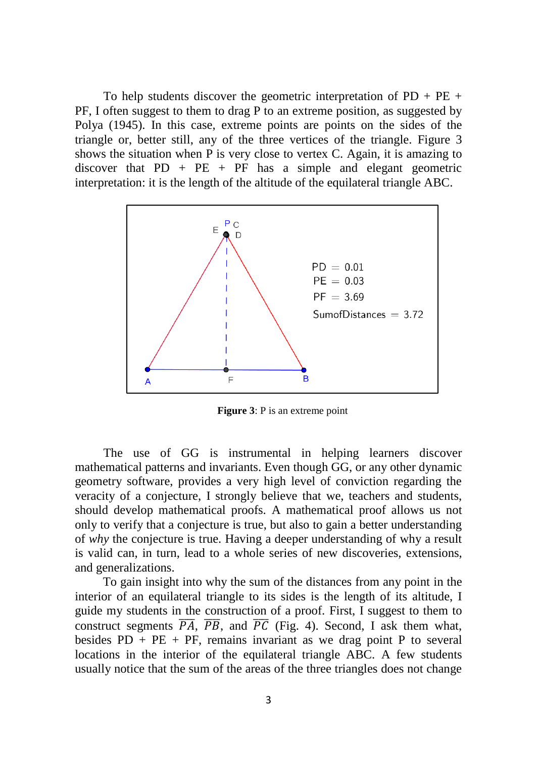To help students discover the geometric interpretation of  $PD + PE +$ PF, I often suggest to them to drag P to an extreme position, as suggested by Polya (1945). In this case, extreme points are points on the sides of the triangle or, better still, any of the three vertices of the triangle. Figure 3 shows the situation when P is very close to vertex C. Again, it is amazing to discover that  $PD + PE + PF$  has a simple and elegant geometric interpretation: it is the length of the altitude of the equilateral triangle ABC.



**Figure 3**: P is an extreme point

The use of GG is instrumental in helping learners discover mathematical patterns and invariants. Even though GG, or any other dynamic geometry software, provides a very high level of conviction regarding the veracity of a conjecture, I strongly believe that we, teachers and students, should develop mathematical proofs. A mathematical proof allows us not only to verify that a conjecture is true, but also to gain a better understanding of *why* the conjecture is true. Having a deeper understanding of why a result is valid can, in turn, lead to a whole series of new discoveries, extensions, and generalizations.

To gain insight into why the sum of the distances from any point in the interior of an equilateral triangle to its sides is the length of its altitude, I guide my students in the construction of a proof. First, I suggest to them to construct segments  $\overline{PA}$ ,  $\overline{PB}$ , and  $\overline{PC}$  (Fig. 4). Second, I ask them what, besides  $PD + PE + PF$ , remains invariant as we drag point P to several locations in the interior of the equilateral triangle ABC. A few students usually notice that the sum of the areas of the three triangles does not change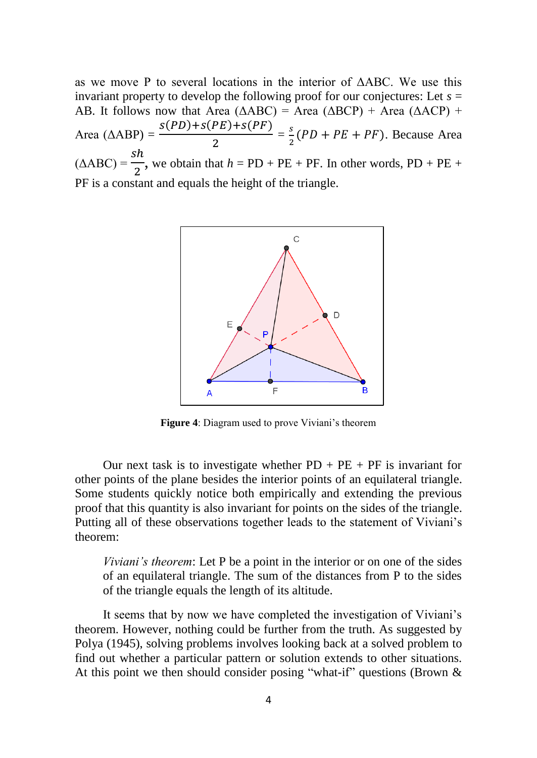as we move P to several locations in the interior of ΔABC. We use this invariant property to develop the following proof for our conjectures: Let *s* = AB. It follows now that Area ( $\triangle ABC$ ) = Area ( $\triangle BCP$ ) + Area ( $\triangle ACP$ ) + Area  $(\triangle ABP) =$  $s(PD)+s(PE)+s(PF)$  $\frac{PEJ+S(PF)}{2} = \frac{s}{2}$  $\frac{3}{2}(PD + PE + PF)$ . Because Area  $(\triangle ABC)$  = ℎ  $\frac{2\pi}{2}$ , we obtain that  $h = \text{PD} + \text{PE} + \text{PF}$ . In other words,  $\text{PD} + \text{PE} + \text{PF}$ . PF is a constant and equals the height of the triangle.



**Figure 4**: Diagram used to prove Viviani's theorem

Our next task is to investigate whether  $PD + PE + PF$  is invariant for other points of the plane besides the interior points of an equilateral triangle. Some students quickly notice both empirically and extending the previous proof that this quantity is also invariant for points on the sides of the triangle. Putting all of these observations together leads to the statement of Viviani's theorem:

*Viviani's theorem*: Let P be a point in the interior or on one of the sides of an equilateral triangle. The sum of the distances from P to the sides of the triangle equals the length of its altitude.

It seems that by now we have completed the investigation of Viviani's theorem. However, nothing could be further from the truth. As suggested by Polya (1945), solving problems involves looking back at a solved problem to find out whether a particular pattern or solution extends to other situations. At this point we then should consider posing "what-if" questions (Brown  $\&$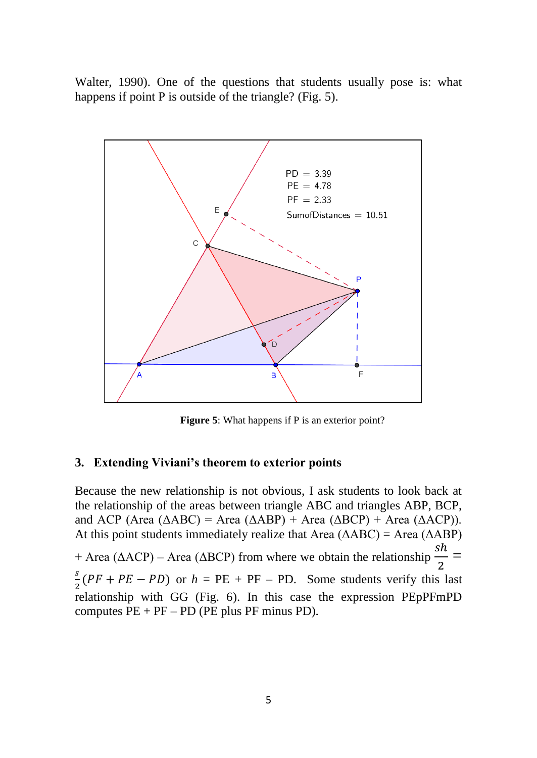Walter, 1990). One of the questions that students usually pose is: what happens if point P is outside of the triangle? (Fig. 5).



**Figure 5**: What happens if P is an exterior point?

#### **3. Extending Viviani's theorem to exterior points**

Because the new relationship is not obvious, I ask students to look back at the relationship of the areas between triangle ABC and triangles ABP, BCP, and ACP (Area ( $\triangle ABC$ ) = Area ( $\triangle ABP$ ) + Area ( $\triangle BCP$ ) + Area ( $\triangle ACP$ )). At this point students immediately realize that Area ( $\triangle ABC$ ) = Area ( $\triangle ABP$ )  $+$  Area ( $\triangle ACP$ ) – Area ( $\triangle BCP$ ) from where we obtain the relationship ℎ  $\frac{3\pi}{2}$ s  $\frac{3}{2}(PF + PE - PD)$  or  $h = PE + PF - PD$ . Some students verify this last relationship with GG (Fig. 6). In this case the expression PEpPFmPD computes  $PE + PF - PD$  (PE plus PF minus PD).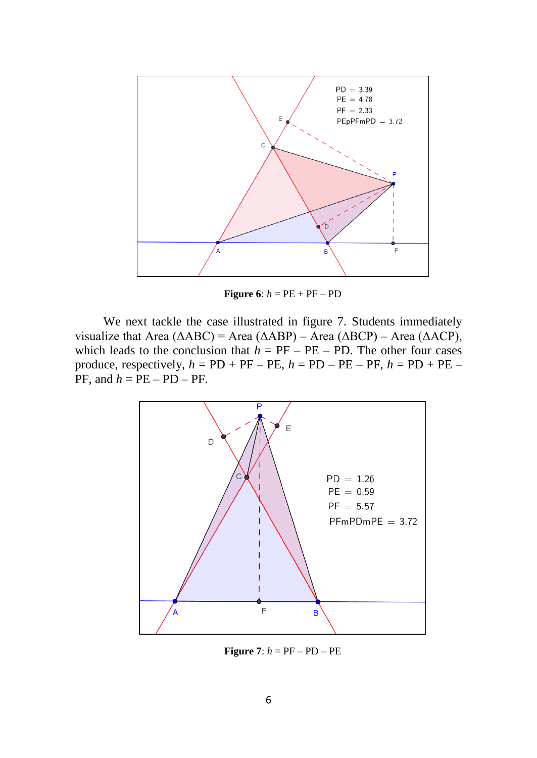

**Figure 6**: *h* = PE + PF – PD

We next tackle the case illustrated in figure 7. Students immediately visualize that Area (ΔABC) = Area (ΔABP) – Area (ΔBCP) – Area (ΔACP), which leads to the conclusion that  $h = PF - PE - PD$ . The other four cases produce, respectively,  $h = PD + PF - PE$ ,  $h = PD - PE - PF$ ,  $h = PD + PE -$ PF, and *h* = PE – PD – PF.



**Figure 7**: *h* = PF – PD – PE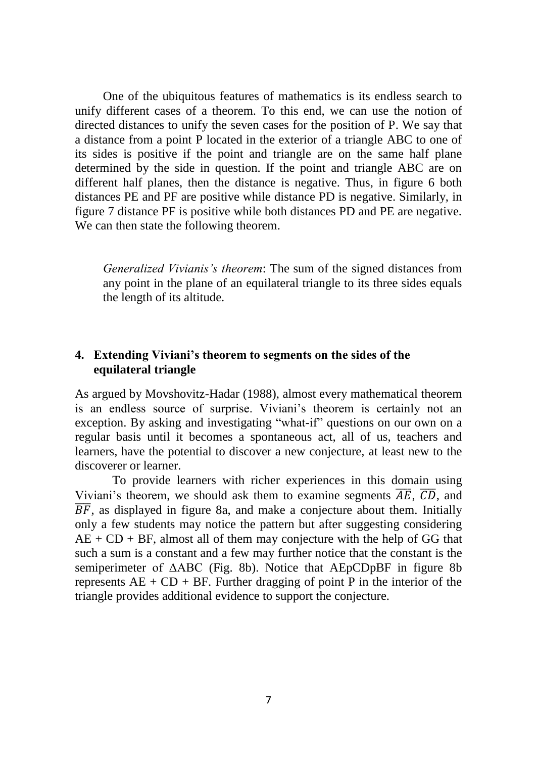One of the ubiquitous features of mathematics is its endless search to unify different cases of a theorem. To this end, we can use the notion of directed distances to unify the seven cases for the position of P. We say that a distance from a point P located in the exterior of a triangle ABC to one of its sides is positive if the point and triangle are on the same half plane determined by the side in question. If the point and triangle ABC are on different half planes, then the distance is negative. Thus, in figure 6 both distances PE and PF are positive while distance PD is negative. Similarly, in figure 7 distance PF is positive while both distances PD and PE are negative. We can then state the following theorem.

*Generalized Vivianis's theorem*: The sum of the signed distances from any point in the plane of an equilateral triangle to its three sides equals the length of its altitude.

## **4. Extending Viviani's theorem to segments on the sides of the equilateral triangle**

As argued by Movshovitz-Hadar (1988), almost every mathematical theorem is an endless source of surprise. Viviani's theorem is certainly not an exception. By asking and investigating "what-if" questions on our own on a regular basis until it becomes a spontaneous act, all of us, teachers and learners, have the potential to discover a new conjecture, at least new to the discoverer or learner.

To provide learners with richer experiences in this domain using Viviani's theorem, we should ask them to examine segments  $\overline{AE}$ ,  $\overline{CD}$ , and  $\overline{BF}$ , as displayed in figure 8a, and make a conjecture about them. Initially only a few students may notice the pattern but after suggesting considering  $AE + CD + BF$ , almost all of them may conjecture with the help of GG that such a sum is a constant and a few may further notice that the constant is the semiperimeter of ΔABC (Fig. 8b). Notice that AEpCDpBF in figure 8b represents  $AE + CD + BF$ . Further dragging of point P in the interior of the triangle provides additional evidence to support the conjecture.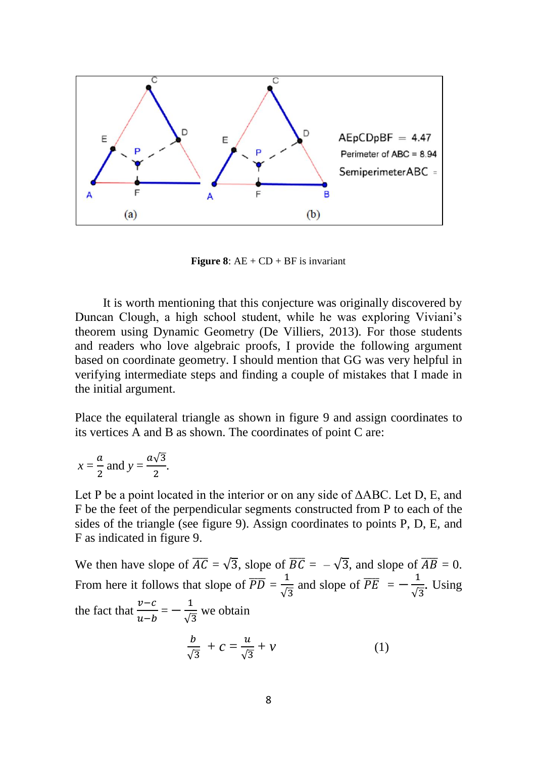

**Figure 8**:  $AE + CD + BF$  is invariant

It is worth mentioning that this conjecture was originally discovered by Duncan Clough, a high school student, while he was exploring Viviani's theorem using Dynamic Geometry (De Villiers, 2013). For those students and readers who love algebraic proofs, I provide the following argument based on coordinate geometry. I should mention that GG was very helpful in verifying intermediate steps and finding a couple of mistakes that I made in the initial argument.

Place the equilateral triangle as shown in figure 9 and assign coordinates to its vertices A and B as shown. The coordinates of point C are:

$$
x = \frac{a}{2} \text{ and } y = \frac{a\sqrt{3}}{2}.
$$

Let P be a point located in the interior or on any side of ΔABC. Let D, E, and F be the feet of the perpendicular segments constructed from P to each of the sides of the triangle (see figure 9). Assign coordinates to points P, D, E, and F as indicated in figure 9.

We then have slope of  $\overline{AC} = \sqrt{3}$ , slope of  $\overline{BC} = -\sqrt{3}$ , and slope of  $\overline{AB} = 0$ . From here it follows that slope of  $\overline{PD} = \frac{1}{6}$  $\frac{1}{\sqrt{3}}$  and slope of  $\overline{PE}$  =  $-\frac{1}{\sqrt{3}}$  $rac{1}{\sqrt{3}}$ . Using the fact that  $\frac{v-c}{v}$  $\frac{v-c}{u-b} = -\frac{1}{\sqrt{2}}$  $\frac{1}{\sqrt{3}}$  we obtain  $\boldsymbol{b}$  $\mathfrak u$ 

$$
\frac{b}{\sqrt{3}} + c = \frac{u}{\sqrt{3}} + v \tag{1}
$$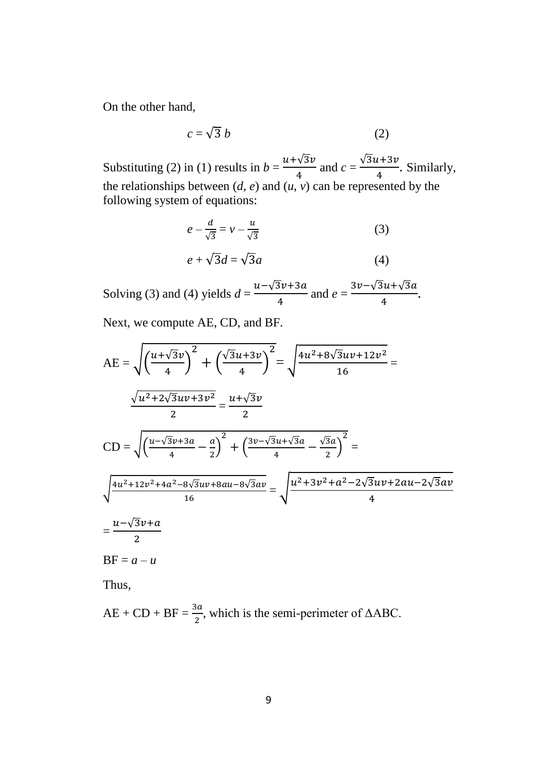On the other hand,

$$
c = \sqrt{3} b \tag{2}
$$

Substituting (2) in (1) results in  $b = \frac{u + \sqrt{3}v}{l}$  $\frac{\sqrt{3}v}{4}$  and  $c = \frac{\sqrt{3}u + 3v}{4}$  $\frac{a+3b}{4}$ . Similarly, the relationships between  $(d, e)$  and  $(u, v)$  can be represented by the following system of equations:

$$
e - \frac{d}{\sqrt{3}} = \nu - \frac{u}{\sqrt{3}}\tag{3}
$$

$$
e + \sqrt{3}d = \sqrt{3}a\tag{4}
$$

Solving (3) and (4) yields  $d = \frac{u - \sqrt{3}v + 3a}{4}$  $\frac{3v+3a}{4}$  and  $e = \frac{3v-\sqrt{3}u+\sqrt{3}a}{4}$  $\frac{5u + v \cdot 5u}{4}$ .

Next, we compute AE, CD, and BF.

$$
AE = \sqrt{\left(\frac{u+\sqrt{3}v}{4}\right)^2 + \left(\frac{\sqrt{3}u+3v}{4}\right)^2} = \sqrt{\frac{4u^2+8\sqrt{3}uv+12v^2}{16}} =
$$
  

$$
\frac{\sqrt{u^2+2\sqrt{3}uv+3v^2}}{2} = \frac{u+\sqrt{3}v}{2}
$$
  

$$
CD = \sqrt{\left(\frac{u-\sqrt{3}v+3a}{4}-\frac{a}{2}\right)^2 + \left(\frac{3v-\sqrt{3}u+\sqrt{3}a}{4}-\frac{\sqrt{3}a}{2}\right)^2} =
$$
  

$$
\sqrt{\frac{4u^2+12v^2+4a^2-8\sqrt{3}uv+8au-8\sqrt{3}av}{16}} = \sqrt{\frac{u^2+3v^2+a^2-2\sqrt{3}uv+2au-2\sqrt{3}av}{4}}
$$
  

$$
= \frac{u-\sqrt{3}v+a}{2}
$$
  

$$
BF = a-u
$$
  
Thus,

 $AE + CD + BF = \frac{3a}{2}$ , which is the semi-perimeter of  $\triangle ABC$ .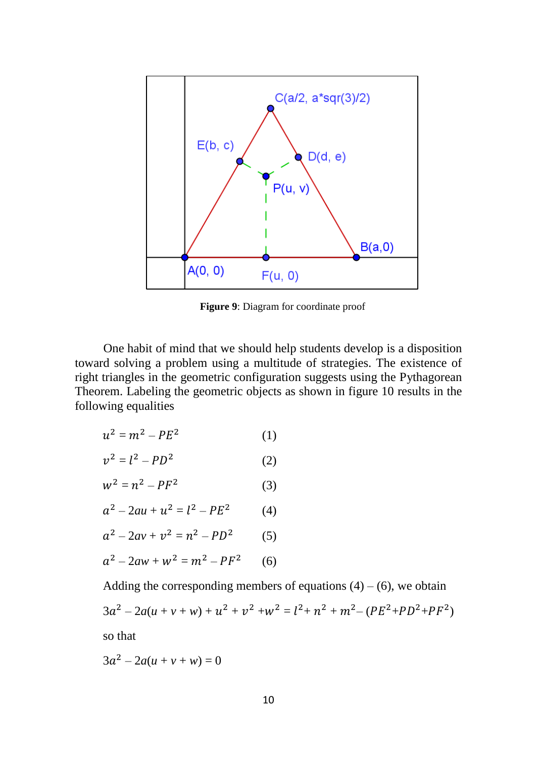

**Figure 9**: Diagram for coordinate proof

One habit of mind that we should help students develop is a disposition toward solving a problem using a multitude of strategies. The existence of right triangles in the geometric configuration suggests using the Pythagorean Theorem. Labeling the geometric objects as shown in figure 10 results in the following equalities

$$
u^2 = m^2 - PE^2 \tag{1}
$$

$$
v^2 = l^2 - PD^2 \tag{2}
$$

$$
w^2 = n^2 - PF^2 \tag{3}
$$

$$
a^2 - 2au + u^2 = l^2 - PE^2 \tag{4}
$$

$$
a^2 - 2av + v^2 = n^2 - PD^2 \tag{5}
$$

$$
a^2 - 2aw + w^2 = m^2 - PF^2 \qquad (6)
$$

Adding the corresponding members of equations  $(4) - (6)$ , we obtain

$$
3a^2 - 2a(u + v + w) + u^2 + v^2 + w^2 = l^2 + n^2 + m^2 - (PE^2 + PD^2 + PF^2)
$$

so that

$$
3a^2-2a(u+v+w)=0
$$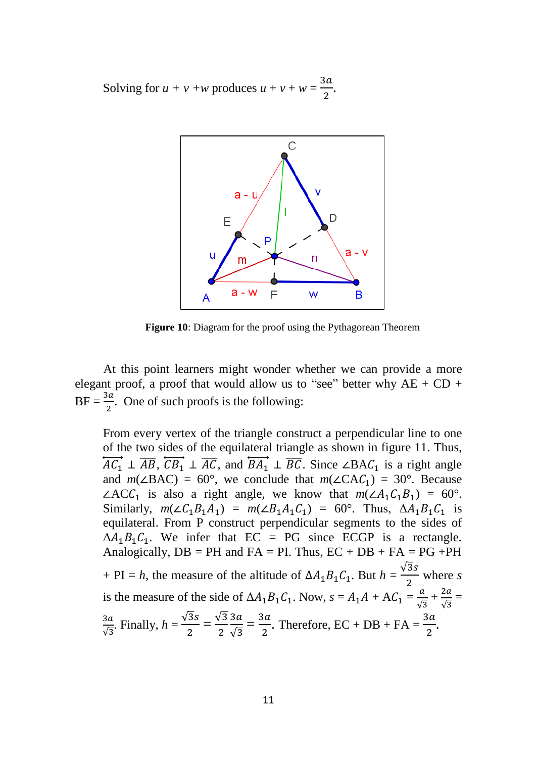Solving for  $u + v + w$  produces  $u + v + w = \frac{3a}{2}$  $\frac{3u}{2}$ .



**Figure 10**: Diagram for the proof using the Pythagorean Theorem

At this point learners might wonder whether we can provide a more elegant proof, a proof that would allow us to "see" better why  $AE + CD +$  $BF = \frac{3a}{2}$ . One of such proofs is the following:

From every vertex of the triangle construct a perpendicular line to one of the two sides of the equilateral triangle as shown in figure 11. Thus,  $\overleftrightarrow{AC_1}$   $\perp$   $\overrightarrow{AB}$ ,  $\overleftrightarrow{CB_1}$   $\perp$   $\overrightarrow{AC}$ , and  $\overleftrightarrow{BA_1}$   $\perp$   $\overrightarrow{BC}$ . Since  $\angle BAC_1$  is a right angle and  $m(\angle BAC) = 60^{\circ}$ , we conclude that  $m(\angle CAC_1) = 30^{\circ}$ . Because  $\angle$ ACC<sub>1</sub> is also a right angle, we know that  $m(\angle A_1 C_1 B_1) = 60^\circ$ . Similarly,  $m(\angle C_1B_1A_1) = m(\angle B_1A_1C_1) = 60^\circ$ . Thus,  $\Delta A_1B_1C_1$  is equilateral. From P construct perpendicular segments to the sides of  $\Delta A_1 B_1 C_1$ . We infer that EC = PG since ECGP is a rectangle. Analogically,  $DB = PH$  and  $FA = PI$ . Thus,  $EC + DB + FA = PG + PH$ + PI = *h*, the measure of the altitude of  $\Delta A_1 B_1 C_1$ . But  $h = \frac{\sqrt{3} s}{2}$  $\frac{35}{2}$  where *s* is the measure of the side of  $\Delta A_1 B_1 C_1$ . Now,  $s = A_1 A + A_1 C_1 = \frac{a}{\sqrt{2a}}$  $\frac{a}{\sqrt{3}} + \frac{2a}{\sqrt{3}}$  $\frac{2a}{\sqrt{3}} =$  $3a$  $rac{3a}{\sqrt{3}}$ . Finally,  $h = \frac{\sqrt{3}s}{2}$  $\frac{\sqrt{3}s}{2} = \frac{\sqrt{3}}{2}$ 2 3  $\frac{3a}{\sqrt{3}} = \frac{3a}{2}$  $\frac{3a}{2}$ . Therefore, EC + DB + FA =  $\frac{3a}{2}$  $\frac{5u}{2}$ .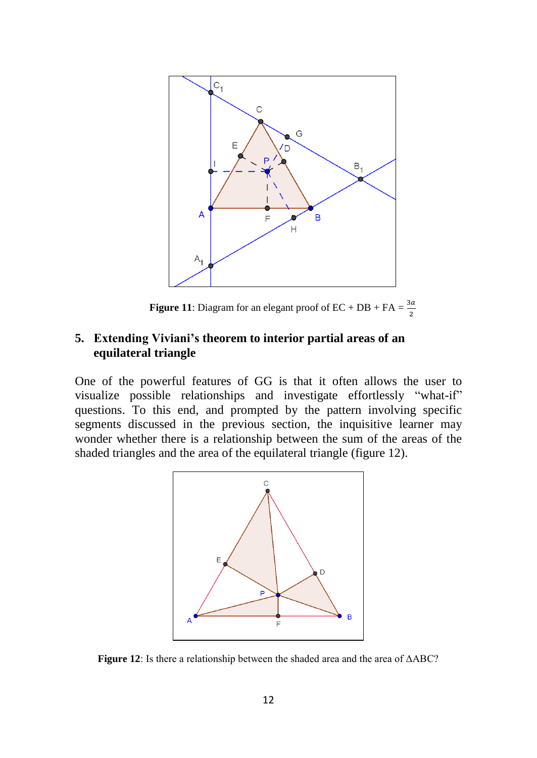

**Figure 11**: Diagram for an elegant proof of  $EC + DB + FA = \frac{3a}{2}$ 

# **5. Extending Viviani's theorem to interior partial areas of an equilateral triangle**

One of the powerful features of GG is that it often allows the user to visualize possible relationships and investigate effortlessly "what-if" questions. To this end, and prompted by the pattern involving specific segments discussed in the previous section, the inquisitive learner may wonder whether there is a relationship between the sum of the areas of the shaded triangles and the area of the equilateral triangle (figure 12).



**Figure 12**: Is there a relationship between the shaded area and the area of ΔABC?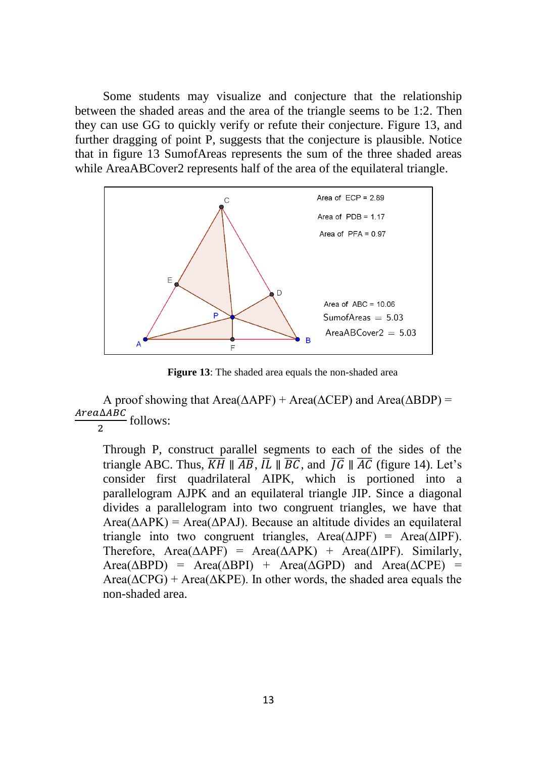Some students may visualize and conjecture that the relationship between the shaded areas and the area of the triangle seems to be 1:2. Then they can use GG to quickly verify or refute their conjecture. Figure 13, and further dragging of point P, suggests that the conjecture is plausible. Notice that in figure 13 SumofAreas represents the sum of the three shaded areas while AreaABCover2 represents half of the area of the equilateral triangle.



**Figure 13**: The shaded area equals the non-shaded area

A proof showing that Area( $\triangle$ APF) + Area( $\triangle$ CEP) and Area( $\triangle$ BDP) = Area∆ABC  $\frac{2}{2}$  follows:

Through P, construct parallel segments to each of the sides of the triangle ABC. Thus,  $\overline{KH} \parallel \overline{AB}$ ,  $\overline{IL} \parallel \overline{BC}$ , and  $\overline{IG} \parallel \overline{AC}$  (figure 14). Let's consider first quadrilateral AIPK, which is portioned into a parallelogram AJPK and an equilateral triangle JIP. Since a diagonal divides a parallelogram into two congruent triangles, we have that  $Area(\Delta APK) = Area(\Delta PAJ)$ . Because an altitude divides an equilateral triangle into two congruent triangles,  $Area(\Delta JPF) = Area(\Delta IPF)$ . Therefore, Area( $\triangle$ APF) = Area( $\triangle$ APK) + Area( $\triangle$ IPF). Similarly,  $Area(\triangle BPD) = Area(\triangle BPI) + Area(\triangle GPD)$  and  $Area(\triangle CPE) =$  $Area(\Delta$ CPG) + Area( $\Delta$ KPE). In other words, the shaded area equals the non-shaded area.